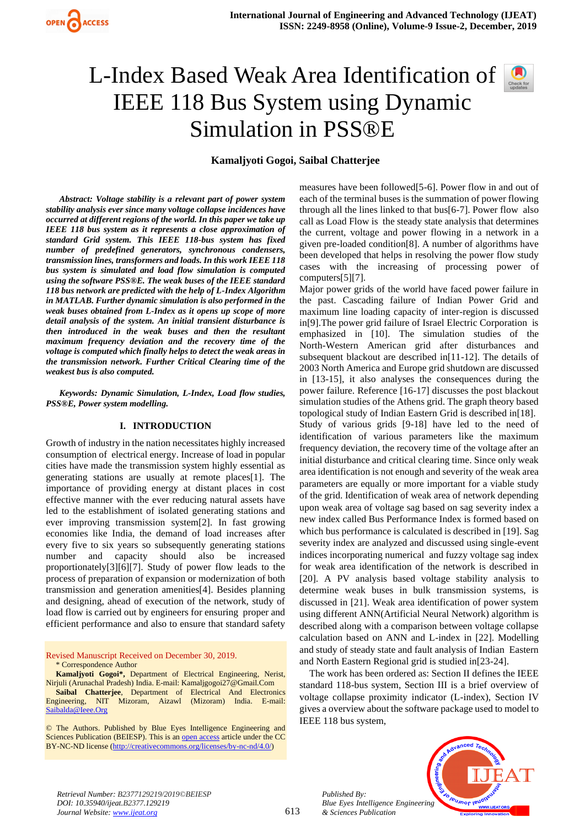

# L-Index Based Weak Area Identification of  $\Box$ IEEE 118 Bus System using Dynamic Simulation in PSS®E



## **Kamaljyoti Gogoi, Saibal Chatterjee**

*Abstract: Voltage stability is a relevant part of power system stability analysis ever since many voltage collapse incidences have occurred at different regions of the world. In this paper we take up IEEE 118 bus system as it represents a close approximation of standard Grid system. This IEEE 118-bus system has fixed number of predefined generators, synchronous condensers, transmission lines, transformers and loads. In this work IEEE 118 bus system is simulated and load flow simulation is computed using the software PSS®E. The weak buses of the IEEE standard 118 bus network are predicted with the help of L-Index Algorithm in MATLAB. Further dynamic simulation is also performed in the weak buses obtained from L-Index as it opens up scope of more detail analysis of the system. An initial transient disturbance is then introduced in the weak buses and then the resultant maximum frequency deviation and the recovery time of the voltage is computed which finally helps to detect the weak areas in the transmission network. Further Critical Clearing time of the weakest bus is also computed.*

*Keywords: Dynamic Simulation, L-Index, Load flow studies, PSS®E, Power system modelling.* 

### **I. INTRODUCTION**

Growth of industry in the nation necessitates highly increased consumption of electrical energy. Increase of load in popular cities have made the transmission system highly essential as generating stations are usually at remote places[1]. The importance of providing energy at distant places in cost effective manner with the ever reducing natural assets have led to the establishment of isolated generating stations and ever improving transmission system[2]. In fast growing economies like India, the demand of load increases after every five to six years so subsequently generating stations number and capacity should also be increased proportionately[3][6][7]. Study of power flow leads to the process of preparation of expansion or modernization of both transmission and generation amenities[4]. Besides planning and designing, ahead of execution of the network, study of load flow is carried out by engineers for ensuring proper and efficient performance and also to ensure that standard safety

Revised Manuscript Received on December 30, 2019. \* Correspondence Author

**Kamaljyoti Gogoi\*,** Department of Electrical Engineering, Nerist, Nirjuli (Arunachal Pradesh) India. E-mail: Kamaljgogoi27@Gmail.Com **Saibal Chatterjee**, Department of Electrical And Electronics Engineering, NIT Mizoram, Aizawl (Mizoram) India. E-mail: [Saibalda@Ieee.Org](mailto:Saibalda@Ieee.Org)

© The Authors. Published by Blue Eyes Intelligence Engineering and Sciences Publication (BEIESP). This is a[n open access](https://www.openaccess.nl/en/open-publications) article under the CC BY-NC-ND license [\(http://creativecommons.org/licenses/by-nc-nd/4.0/\)](http://creativecommons.org/licenses/by-nc-nd/4.0/)

measures have been followed[5-6]. Power flow in and out of each of the terminal buses is the summation of power flowing through all the lines linked to that bus[6-7]. Power flow also call as Load Flow is the steady state analysis that determines the current, voltage and power flowing in a network in a given pre-loaded condition[8]. A number of algorithms have been developed that helps in resolving the power flow study cases with the increasing of processing power of computers[5][7].

Major power grids of the world have faced power failure in the past. Cascading failure of Indian Power Grid and maximum line loading capacity of inter-region is discussed in[9].The power grid failure of Israel Electric Corporation is emphasized in [10]. The simulation studies of the North-Western American grid after disturbances and subsequent blackout are described in[11-12]. The details of 2003 North America and Europe grid shutdown are discussed in [13-15], it also analyses the consequences during the power failure. Reference [16-17] discusses the post blackout simulation studies of the Athens grid. The graph theory based topological study of Indian Eastern Grid is described in[18]. Study of various grids [9-18] have led to the need of identification of various parameters like the maximum frequency deviation, the recovery time of the voltage after an initial disturbance and critical clearing time. Since only weak area identification is not enough and severity of the weak area parameters are equally or more important for a viable study of the grid. Identification of weak area of network depending upon weak area of voltage sag based on sag severity index a new index called Bus Performance Index is formed based on which bus performance is calculated is described in [19]. Sag severity index are analyzed and discussed using single-event indices incorporating numerical and fuzzy voltage sag index for weak area identification of the network is described in [20]. A PV analysis based voltage stability analysis to determine weak buses in bulk transmission systems, is discussed in [21]. Weak area identification of power system using different ANN(Artificial Neural Network) algorithm is described along with a comparison between voltage collapse calculation based on ANN and L-index in [22]. Modelling and study of steady state and fault analysis of Indian Eastern and North Eastern Regional grid is studied in[23-24].

The work has been ordered as: Section II defines the IEEE standard 118-bus system, Section III is a brief overview of voltage collapse proximity indicator (L-index), Section IV gives a overview about the software package used to model to IEEE 118 bus system,



*Retrieval Number: B2377129219/2019©BEIESP DOI: 10.35940/ijeat.B2377.129219 Journal Website: [www.ijeat.org](http://www.ijeat.org/)*

*Published By:*

*& Sciences Publication*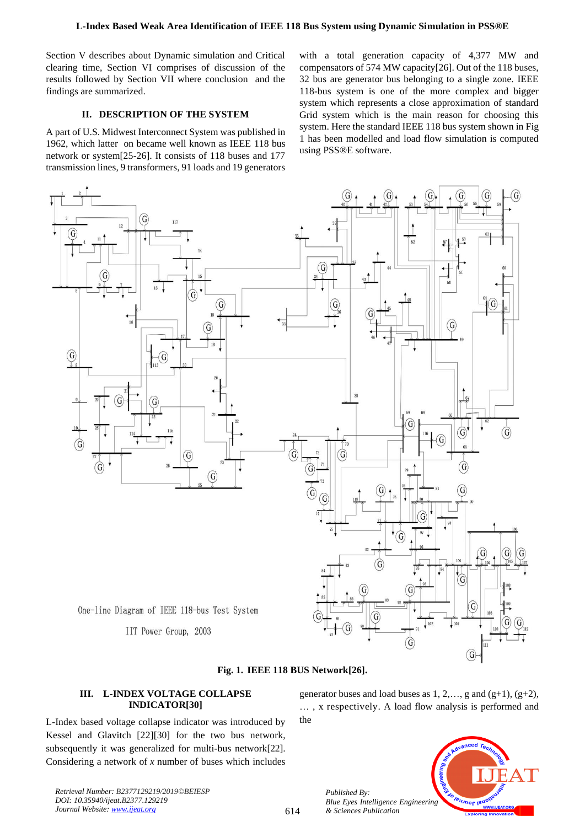Section V describes about Dynamic simulation and Critical clearing time, Section VI comprises of discussion of the results followed by Section VII where conclusion and the findings are summarized.

## **II. DESCRIPTION OF THE SYSTEM**

A part of U.S. Midwest Interconnect System was published in 1962, which latter on became well known as IEEE 118 bus network or system[25-26]. It consists of 118 buses and 177 transmission lines, 9 transformers, 91 loads and 19 generators

with a total generation capacity of 4,377 MW and compensators of 574 MW capacity[26]. Out of the 118 buses, 32 bus are generator bus belonging to a single zone. IEEE 118-bus system is one of the more complex and bigger system which represents a close approximation of standard Grid system which is the main reason for choosing this system. Here the standard IEEE 118 bus system shown in Fig 1 has been modelled and load flow simulation is computed using PSS®E software.



## **III. L-INDEX VOLTAGE COLLAPSE INDICATOR[30]**

L-Index based voltage collapse indicator was introduced by Kessel and Glavitch [22][30] for the two bus network, subsequently it was generalized for multi-bus network[22]. Considering a network of *x* number of buses which includes generator buses and load buses as  $1, 2, \ldots$ , g and  $(g+1)$ ,  $(g+2)$ , … , x respectively. A load flow analysis is performed and the



*Retrieval Number: B2377129219/2019©BEIESP DOI: 10.35940/ijeat.B2377.129219 Journal Website[: www.ijeat.org](http://www.ijeat.org/)*

*Published By:*

*& Sciences Publication*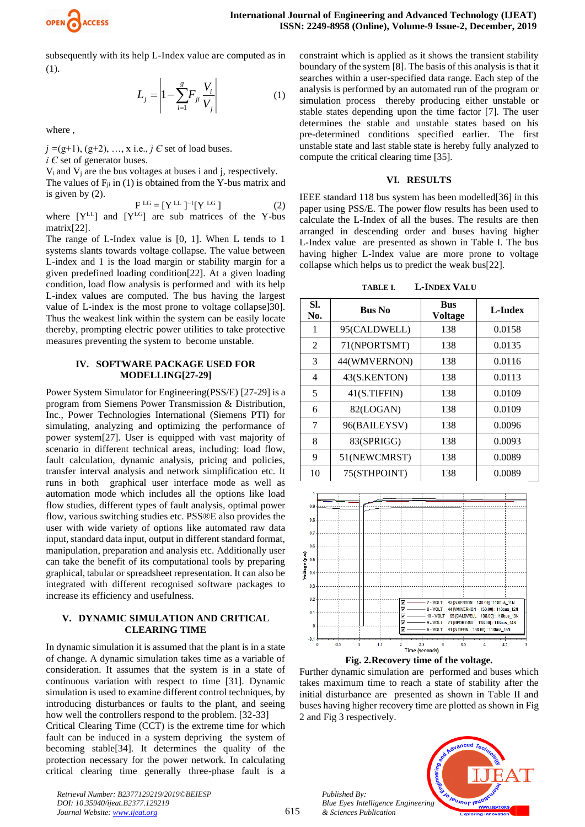

subsequently with its help L-Index value are computed as in (1).

$$
L_{j} = \left| 1 - \sum_{i=1}^{g} F_{ji} \frac{V_{i}}{V_{j}} \right| \tag{1}
$$

where ,

*j =*(g+1), (g+2), …, x i.e., *j Є* set of load buses. *i C* set of generator buses.

 $V_i$  and  $V_j$  are the bus voltages at buses i and j, respectively. The values of  $F_{ji}$  in (1) is obtained from the Y-bus matrix and is given by (2).

$$
F^{LG} = [Y^{LL}]^{-1} [Y^{LG}] \qquad (2)
$$

where  $[Y^{LL}]$  and  $[Y^{LG}]$  are sub matrices of the Y-bus matrix[22].

The range of L-Index value is [0, 1]. When L tends to 1 systems slants towards voltage collapse. The value between L-index and 1 is the load margin or stability margin for a given predefined loading condition[22]. At a given loading condition, load flow analysis is performed and with its help L-index values are computed. The bus having the largest value of L-index is the most prone to voltage collapse]30]. Thus the weakest link within the system can be easily locate thereby, prompting electric power utilities to take protective measures preventing the system to become unstable.

#### **IV. SOFTWARE PACKAGE USED FOR MODELLING[27-29]**

Power System Simulator for Engineering(PSS/E) [27-29] is a program from Siemens Power Transmission & Distribution, Inc., Power Technologies International (Siemens PTI) for simulating, analyzing and optimizing the performance of power system[27]. User is equipped with vast majority of scenario in different technical areas, including: load flow, fault calculation, dynamic analysis, pricing and policies, transfer interval analysis and network simplification etc. It runs in both graphical user interface mode as well as automation mode which includes all the options like load flow studies, different types of fault analysis, optimal power flow, various switching studies etc. PSS®E also provides the user with wide variety of options like automated raw data input, standard data input, output in different standard format, manipulation, preparation and analysis etc. Additionally user can take the benefit of its computational tools by preparing graphical, tabular or spreadsheet representation. It can also be integrated with different recognised software packages to increase its efficiency and usefulness.

## **V. DYNAMIC SIMULATION AND CRITICAL CLEARING TIME**

In dynamic simulation it is assumed that the plant is in a state of change. A dynamic simulation takes time as a variable of consideration. It assumes that the system is in a state of continuous variation with respect to time [31]. Dynamic simulation is used to examine different control techniques, by introducing disturbances or faults to the plant, and seeing how well the controllers respond to the problem. [32-33] Critical Clearing Time (CCT) is the extreme time for which fault can be induced in a system depriving the system of becoming stable[34]. It determines the quality of the

*Retrieval Number: B2377129219/2019©BEIESP* protection necessary for the power network. In calculating critical clearing time generally three-phase fault is a

*DOI: 10.35940/ijeat.B2377.129219 Journal Website: [www.ijeat.org](http://www.ijeat.org/)*

constraint which is applied as it shows the transient stability boundary of the system [8]. The basis of this analysis is that it searches within a user-specified data range. Each step of the analysis is performed by an automated run of the program or simulation process thereby producing either unstable or stable states depending upon the time factor [7]. The user determines the stable and unstable states based on his pre-determined conditions specified earlier. The first unstable state and last stable state is hereby fully analyzed to compute the critical clearing time [35].

#### **VI. RESULTS**

IEEE standard 118 bus system has been modelled[36] in this paper using PSS/E. The power flow results has been used to calculate the L-Index of all the buses. The results are then arranged in descending order and buses having higher L-Index value are presented as shown in Table I. The bus having higher L-Index value are more prone to voltage collapse which helps us to predict the weak bus[22].

| <b>L-INDEX VALU</b> |
|---------------------|
|                     |

| SI.<br>No. | <b>Bus No</b> | <b>Bus</b><br><b>Voltage</b> | L-Index |  |
|------------|---------------|------------------------------|---------|--|
| 1          | 95(CALDWELL)  | 138                          | 0.0158  |  |
| 2          | 71(NPORTSMT)  | 138                          | 0.0135  |  |
| 3          | 44(WMVERNON)  | 138                          | 0.0116  |  |
| 4          | 43(S.KENTON)  | 138                          | 0.0113  |  |
| 5          | 41(S.TIFFIN)  | 138                          | 0.0109  |  |
| 6          | 82(LOGAN)     | 138                          | 0.0109  |  |
| 7          | 96(BAILEYSV)  | 138                          | 0.0096  |  |
| 8          | 83(SPRIGG)    | 138                          | 0.0093  |  |
| 9          | 51(NEWCMRST)  | 138                          | 0.0089  |  |
| 10         | 75(STHPOINT)  | 138                          | 0.0089  |  |





Further dynamic simulation are performed and buses which takes maximum time to reach a state of stability after the initial disturbance are presented as shown in Table II and buses having higher recovery time are plotted as shown in Fig 2 and Fig 3 respectively.

*Published By: Blue Eyes Intelligence Engineering & Sciences Publication* 

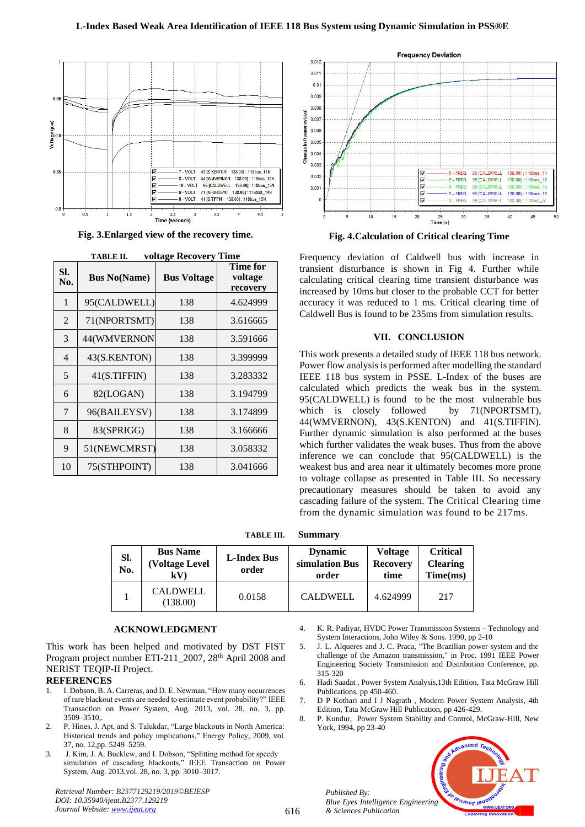

**Fig. 3.Enlarged view of the recovery time.**

| 1 ADI JE 11.<br>уонаде кесоусгу типе |                     |                    |                                 |  |  |  |  |
|--------------------------------------|---------------------|--------------------|---------------------------------|--|--|--|--|
| SI.<br>No.                           | <b>Bus No(Name)</b> | <b>Bus Voltage</b> | Time for<br>voltage<br>recovery |  |  |  |  |
| 1                                    | 95(CALDWELL)        | 138                | 4.624999                        |  |  |  |  |
| $\overline{2}$                       | 71(NPORTSMT)        | 138                | 3.616665                        |  |  |  |  |
| 3                                    | 44(WMVERNON         | 138                | 3.591666                        |  |  |  |  |
| 4                                    | 43(S.KENTON)        | 138                | 3.399999                        |  |  |  |  |
| 5                                    | 41(S.TIFFIN)        | 138                | 3.283332                        |  |  |  |  |
| 6                                    | 82(LOGAN)           | 138                | 3.194799                        |  |  |  |  |
| 7                                    | 96(BAILEYSV)        | 138                | 3.174899                        |  |  |  |  |
| 8                                    | 83(SPRIGG)          | 138                | 3.166666                        |  |  |  |  |
| 9                                    | 51(NEWCMRST)        | 138                | 3.058332                        |  |  |  |  |
| 10                                   | 75(STHPOINT)        | 138                | 3.041666                        |  |  |  |  |

**TABLE II. voltage Recovery Time**



**Fig. 4.Calculation of Critical clearing Time**

Frequency deviation of Caldwell bus with increase in transient disturbance is shown in Fig 4. Further while calculating critical clearing time transient disturbance was increased by 10ms but closer to the probable CCT for better accuracy it was reduced to 1 ms. Critical clearing time of Caldwell Bus is found to be 235ms from simulation results.

#### **VII. CONCLUSION**

This work presents a detailed study of IEEE 118 bus network. Power flow analysis is performed after modelling the standard IEEE 118 bus system in PSSE. L-Index of the buses are calculated which predicts the weak bus in the system. 95(CALDWELL) is found to be the most vulnerable bus which is closely followed by 71(NPORTSMT), 44(WMVERNON), 43(S.KENTON) and 41(S.TIFFIN). Further dynamic simulation is also performed at the buses which further validates the weak buses. Thus from the above inference we can conclude that 95(CALDWELL) is the weakest bus and area near it ultimately becomes more prone to voltage collapse as presented in Table III. So necessary precautionary measures should be taken to avoid any cascading failure of the system. The Critical Clearing time from the dynamic simulation was found to be 217ms.

**TABLE III. Summary**

| SI.<br>No. | <b>Bus Name</b><br><b>(Voltage Level)</b><br>kV) | <b>L-Index Bus</b><br>order | <b>Dynamic</b><br>simulation Bus<br>order | <b>Voltage</b><br><b>Recovery</b><br>time | <b>Critical</b><br><b>Clearing</b><br>Time(ms) |
|------------|--------------------------------------------------|-----------------------------|-------------------------------------------|-------------------------------------------|------------------------------------------------|
|            | CALDWELL<br>(138.00)                             | 0.0158                      | <b>CALDWELL</b>                           | 4.624999                                  | 217                                            |

#### **ACKNOWLEDGMENT**

This work has been helped and motivated by DST FIST Program project number ETI-211\_2007, 28<sup>th</sup> April 2008 and NERIST TEQIP-II Project.

## **REFERENCES**

- 1. I. Dobson, B. A. Carreras, and D. E. Newman, "How many occurrences of rare blackout events are needed to estimate event probability?" IEEE Transaction on Power System, Aug. 2013, vol. 28, no. 3, pp. 3509–3510,.
- 2. P. Hines, J. Apt, and S. Talukdar, "Large blackouts in North America: Historical trends and policy implications," Energy Policy, 2009, vol. 37, no. 12,pp. 5249-5259.
- 3. J. Kim, J. A. Bucklew, and I. Dobson, "Splitting method for speedy simulation of cascading blackouts," IEEE Transaction on Power System, Aug. 2013,vol. 28, no. 3, pp. 3010–3017.

*Retrieval Number: B2377129219/2019©BEIESP DOI: 10.35940/ijeat.B2377.129219 Journal Website[: www.ijeat.org](http://www.ijeat.org/)*

- 4. K. R. Padiyar, HVDC Power Transmission Systems Technology and System Interactions, John Wiley & Sons. 1990, pp 2-10
- 5. J. L. Alqueres and J. C. Praca, "The Brazilian power system and the challenge of the Amazon transmission," in Proc. 1991 IEEE Power Engineering Society Transmission and Distribution Conference, pp. 315-320
- 6. Hadi Saadat , Power System Analysis,13th Edition, Tata McGraw Hill Publications, pp 450-460.
- 7. D P Kothari and I J Nagrath , Modern Power System Analysis, 4th Edition, Tata McGraw Hill Publication, pp 426-429.
- 8. P. Kundur, Power System Stability and Control, McGraw-Hill, New York, 1994, pp 23-40



*Published By: Blue Eyes Intelligence Engineering & Sciences Publication*